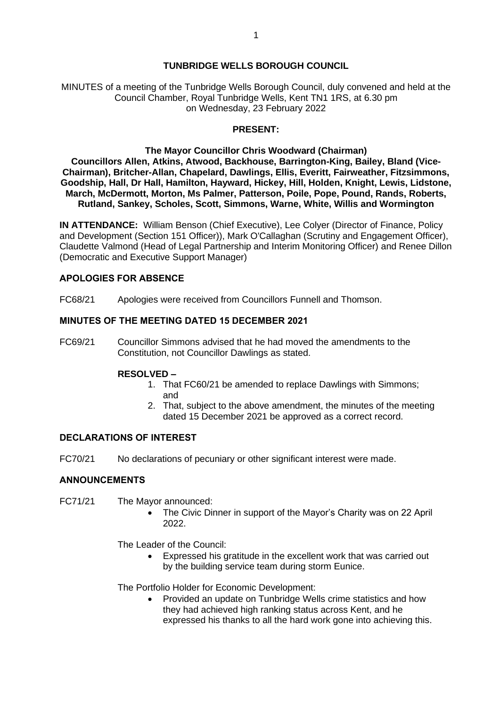# **TUNBRIDGE WELLS BOROUGH COUNCIL**

MINUTES of a meeting of the Tunbridge Wells Borough Council, duly convened and held at the Council Chamber, Royal Tunbridge Wells, Kent TN1 1RS, at 6.30 pm on Wednesday, 23 February 2022

### **PRESENT:**

## **The Mayor Councillor Chris Woodward (Chairman)**

**Councillors Allen, Atkins, Atwood, Backhouse, Barrington-King, Bailey, Bland (Vice-Chairman), Britcher-Allan, Chapelard, Dawlings, Ellis, Everitt, Fairweather, Fitzsimmons, Goodship, Hall, Dr Hall, Hamilton, Hayward, Hickey, Hill, Holden, Knight, Lewis, Lidstone, March, McDermott, Morton, Ms Palmer, Patterson, Poile, Pope, Pound, Rands, Roberts, Rutland, Sankey, Scholes, Scott, Simmons, Warne, White, Willis and Wormington**

**IN ATTENDANCE:** William Benson (Chief Executive), Lee Colyer (Director of Finance, Policy and Development (Section 151 Officer)), Mark O'Callaghan (Scrutiny and Engagement Officer), Claudette Valmond (Head of Legal Partnership and Interim Monitoring Officer) and Renee Dillon (Democratic and Executive Support Manager)

## **APOLOGIES FOR ABSENCE**

FC68/21 Apologies were received from Councillors Funnell and Thomson.

### **MINUTES OF THE MEETING DATED 15 DECEMBER 2021**

FC69/21 Councillor Simmons advised that he had moved the amendments to the Constitution, not Councillor Dawlings as stated.

### **RESOLVED –**

- 1. That FC60/21 be amended to replace Dawlings with Simmons; and
- 2. That, subject to the above amendment, the minutes of the meeting dated 15 December 2021 be approved as a correct record.

## **DECLARATIONS OF INTEREST**

FC70/21 No declarations of pecuniary or other significant interest were made.

### **ANNOUNCEMENTS**

- FC71/21 The Mayor announced:
	- - The Civic Dinner in support of the Mayor's Charity was on 22 April 2022.

The Leader of the Council:

• Expressed his gratitude in the excellent work that was carried out by the building service team during storm Eunice.

The Portfolio Holder for Economic Development:

• Provided an update on Tunbridge Wells crime statistics and how they had achieved high ranking status across Kent, and he expressed his thanks to all the hard work gone into achieving this.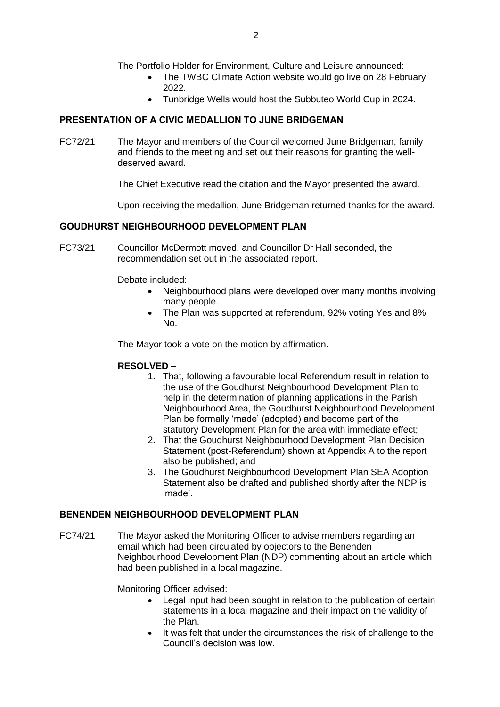- The TWBC Climate Action website would go live on 28 February 2022.
- Tunbridge Wells would host the Subbuteo World Cup in 2024.

# **PRESENTATION OF A CIVIC MEDALLION TO JUNE BRIDGEMAN**

FC72/21 The Mayor and members of the Council welcomed June Bridgeman, family and friends to the meeting and set out their reasons for granting the welldeserved award.

The Chief Executive read the citation and the Mayor presented the award.

Upon receiving the medallion, June Bridgeman returned thanks for the award.

# **GOUDHURST NEIGHBOURHOOD DEVELOPMENT PLAN**

FC73/21 Councillor McDermott moved, and Councillor Dr Hall seconded, the recommendation set out in the associated report.

Debate included:

- Neighbourhood plans were developed over many months involving many people.
- The Plan was supported at referendum, 92% voting Yes and 8% No.

The Mayor took a vote on the motion by affirmation.

# **RESOLVED –**

- 1. That, following a favourable local Referendum result in relation to the use of the Goudhurst Neighbourhood Development Plan to help in the determination of planning applications in the Parish Neighbourhood Area, the Goudhurst Neighbourhood Development Plan be formally 'made' (adopted) and become part of the statutory Development Plan for the area with immediate effect;
- 2. That the Goudhurst Neighbourhood Development Plan Decision Statement (post-Referendum) shown at Appendix A to the report also be published; and
- 3. The Goudhurst Neighbourhood Development Plan SEA Adoption Statement also be drafted and published shortly after the NDP is 'made'.

# **BENENDEN NEIGHBOURHOOD DEVELOPMENT PLAN**

FC74/21 The Mayor asked the Monitoring Officer to advise members regarding an email which had been circulated by objectors to the Benenden Neighbourhood Development Plan (NDP) commenting about an article which had been published in a local magazine.

Monitoring Officer advised:

- Legal input had been sought in relation to the publication of certain statements in a local magazine and their impact on the validity of the Plan.
- It was felt that under the circumstances the risk of challenge to the Council's decision was low.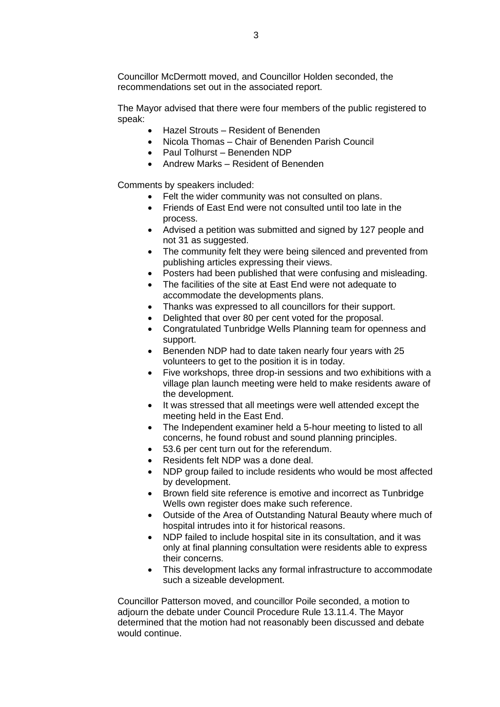Councillor McDermott moved, and Councillor Holden seconded, the recommendations set out in the associated report.

The Mayor advised that there were four members of the public registered to speak:

- Hazel Strouts Resident of Benenden
- Nicola Thomas Chair of Benenden Parish Council
- Paul Tolhurst Benenden NDP
- Andrew Marks Resident of Benenden

Comments by speakers included:

- Felt the wider community was not consulted on plans.
- Friends of East End were not consulted until too late in the process.
- Advised a petition was submitted and signed by 127 people and not 31 as suggested.
- The community felt they were being silenced and prevented from publishing articles expressing their views.
- Posters had been published that were confusing and misleading.
- The facilities of the site at East End were not adequate to accommodate the developments plans.
- Thanks was expressed to all councillors for their support.
- Delighted that over 80 per cent voted for the proposal.
- Congratulated Tunbridge Wells Planning team for openness and support.
- Benenden NDP had to date taken nearly four years with 25 volunteers to get to the position it is in today.
- Five workshops, three drop-in sessions and two exhibitions with a village plan launch meeting were held to make residents aware of the development.
- It was stressed that all meetings were well attended except the meeting held in the East End.
- The Independent examiner held a 5-hour meeting to listed to all concerns, he found robust and sound planning principles.
- 53.6 per cent turn out for the referendum.
- Residents felt NDP was a done deal.
- NDP group failed to include residents who would be most affected by development.
- Brown field site reference is emotive and incorrect as Tunbridge Wells own register does make such reference.
- Outside of the Area of Outstanding Natural Beauty where much of hospital intrudes into it for historical reasons.
- NDP failed to include hospital site in its consultation, and it was only at final planning consultation were residents able to express their concerns.
- This development lacks any formal infrastructure to accommodate such a sizeable development.

Councillor Patterson moved, and councillor Poile seconded, a motion to adjourn the debate under Council Procedure Rule 13.11.4. The Mayor determined that the motion had not reasonably been discussed and debate would continue.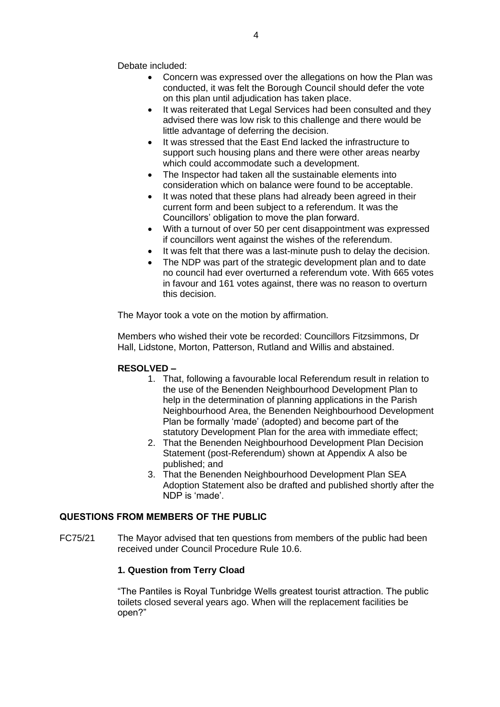Debate included:

- Concern was expressed over the allegations on how the Plan was conducted, it was felt the Borough Council should defer the vote on this plan until adjudication has taken place.
- It was reiterated that Legal Services had been consulted and they advised there was low risk to this challenge and there would be little advantage of deferring the decision.
- It was stressed that the East End lacked the infrastructure to support such housing plans and there were other areas nearby which could accommodate such a development.
- The Inspector had taken all the sustainable elements into consideration which on balance were found to be acceptable.
- It was noted that these plans had already been agreed in their current form and been subject to a referendum. It was the Councillors' obligation to move the plan forward.
- With a turnout of over 50 per cent disappointment was expressed if councillors went against the wishes of the referendum.
- It was felt that there was a last-minute push to delay the decision.
- The NDP was part of the strategic development plan and to date no council had ever overturned a referendum vote. With 665 votes in favour and 161 votes against, there was no reason to overturn this decision.

The Mayor took a vote on the motion by affirmation.

Members who wished their vote be recorded: Councillors Fitzsimmons, Dr Hall, Lidstone, Morton, Patterson, Rutland and Willis and abstained.

# **RESOLVED –**

- 1. That, following a favourable local Referendum result in relation to the use of the Benenden Neighbourhood Development Plan to help in the determination of planning applications in the Parish Neighbourhood Area, the Benenden Neighbourhood Development Plan be formally 'made' (adopted) and become part of the statutory Development Plan for the area with immediate effect;
- 2. That the Benenden Neighbourhood Development Plan Decision Statement (post-Referendum) shown at Appendix A also be published; and
- 3. That the Benenden Neighbourhood Development Plan SEA Adoption Statement also be drafted and published shortly after the NDP is 'made'.

# **QUESTIONS FROM MEMBERS OF THE PUBLIC**

FC75/21 The Mayor advised that ten questions from members of the public had been received under Council Procedure Rule 10.6.

# **1. Question from Terry Cload**

"The Pantiles is Royal Tunbridge Wells greatest tourist attraction. The public toilets closed several years ago. When will the replacement facilities be open?"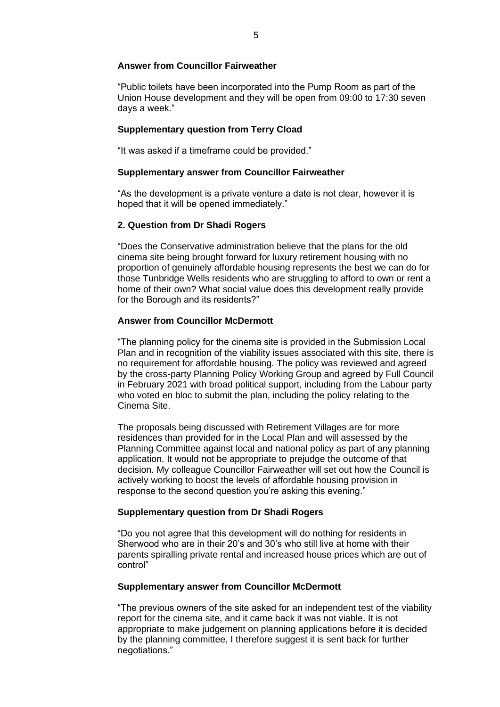### **Answer from Councillor Fairweather**

"Public toilets have been incorporated into the Pump Room as part of the Union House development and they will be open from 09:00 to 17:30 seven days a week."

## **Supplementary question from Terry Cload**

"It was asked if a timeframe could be provided."

### **Supplementary answer from Councillor Fairweather**

"As the development is a private venture a date is not clear, however it is hoped that it will be opened immediately."

## **2. Question from Dr Shadi Rogers**

"Does the Conservative administration believe that the plans for the old cinema site being brought forward for luxury retirement housing with no proportion of genuinely affordable housing represents the best we can do for those Tunbridge Wells residents who are struggling to afford to own or rent a home of their own? What social value does this development really provide for the Borough and its residents?"

## **Answer from Councillor McDermott**

"The planning policy for the cinema site is provided in the Submission Local Plan and in recognition of the viability issues associated with this site, there is no requirement for affordable housing. The policy was reviewed and agreed by the cross-party Planning Policy Working Group and agreed by Full Council in February 2021 with broad political support, including from the Labour party who voted en bloc to submit the plan, including the policy relating to the Cinema Site.

The proposals being discussed with Retirement Villages are for more residences than provided for in the Local Plan and will assessed by the Planning Committee against local and national policy as part of any planning application. It would not be appropriate to prejudge the outcome of that decision. My colleague Councillor Fairweather will set out how the Council is actively working to boost the levels of affordable housing provision in response to the second question you're asking this evening."

### **Supplementary question from Dr Shadi Rogers**

"Do you not agree that this development will do nothing for residents in Sherwood who are in their 20's and 30's who still live at home with their parents spiralling private rental and increased house prices which are out of control"

### **Supplementary answer from Councillor McDermott**

"The previous owners of the site asked for an independent test of the viability report for the cinema site, and it came back it was not viable. It is not appropriate to make judgement on planning applications before it is decided by the planning committee, I therefore suggest it is sent back for further negotiations."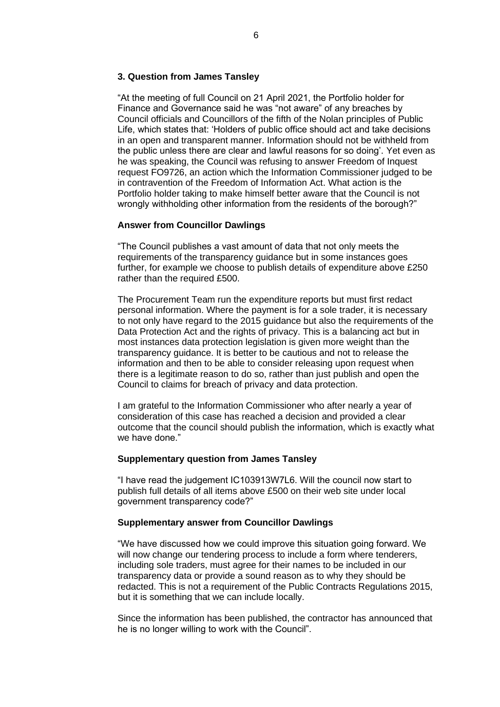## **3. Question from James Tansley**

"At the meeting of full Council on 21 April 2021, the Portfolio holder for Finance and Governance said he was "not aware" of any breaches by Council officials and Councillors of the fifth of the Nolan principles of Public Life, which states that: 'Holders of public office should act and take decisions in an open and transparent manner. Information should not be withheld from the public unless there are clear and lawful reasons for so doing'. Yet even as he was speaking, the Council was refusing to answer Freedom of Inquest request FO9726, an action which the Information Commissioner judged to be in contravention of the Freedom of Information Act. What action is the Portfolio holder taking to make himself better aware that the Council is not wrongly withholding other information from the residents of the borough?"

### **Answer from Councillor Dawlings**

"The Council publishes a vast amount of data that not only meets the requirements of the transparency guidance but in some instances goes further, for example we choose to publish details of expenditure above £250 rather than the required £500.

The Procurement Team run the expenditure reports but must first redact personal information. Where the payment is for a sole trader, it is necessary to not only have regard to the 2015 guidance but also the requirements of the Data Protection Act and the rights of privacy. This is a balancing act but in most instances data protection legislation is given more weight than the transparency guidance. It is better to be cautious and not to release the information and then to be able to consider releasing upon request when there is a legitimate reason to do so, rather than just publish and open the Council to claims for breach of privacy and data protection.

I am grateful to the Information Commissioner who after nearly a year of consideration of this case has reached a decision and provided a clear outcome that the council should publish the information, which is exactly what we have done."

## **Supplementary question from James Tansley**

"I have read the judgement IC103913W7L6. Will the council now start to publish full details of all items above £500 on their web site under local government transparency code?"

### **Supplementary answer from Councillor Dawlings**

"We have discussed how we could improve this situation going forward. We will now change our tendering process to include a form where tenderers, including sole traders, must agree for their names to be included in our transparency data or provide a sound reason as to why they should be redacted. This is not a requirement of the Public Contracts Regulations 2015, but it is something that we can include locally.

Since the information has been published, the contractor has announced that he is no longer willing to work with the Council".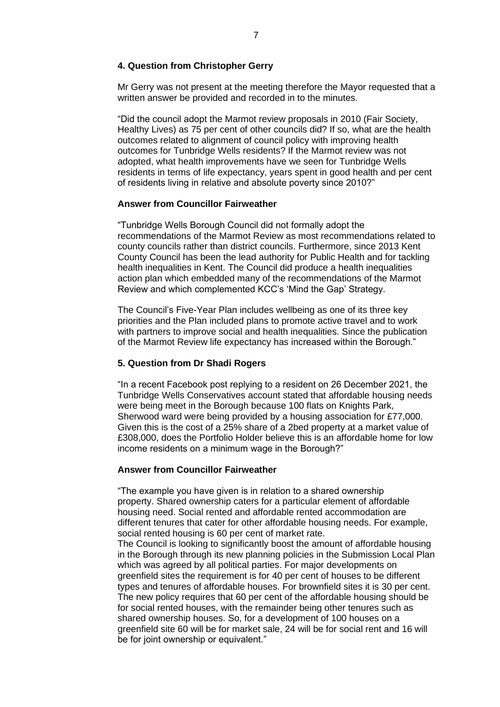### **4. Question from Christopher Gerry**

Mr Gerry was not present at the meeting therefore the Mayor requested that a written answer be provided and recorded in to the minutes.

"Did the council adopt the Marmot review proposals in 2010 (Fair Society, Healthy Lives) as 75 per cent of other councils did? If so, what are the health outcomes related to alignment of council policy with improving health outcomes for Tunbridge Wells residents? If the Marmot review was not adopted, what health improvements have we seen for Tunbridge Wells residents in terms of life expectancy, years spent in good health and per cent of residents living in relative and absolute poverty since 2010?"

#### **Answer from Councillor Fairweather**

"Tunbridge Wells Borough Council did not formally adopt the recommendations of the Marmot Review as most recommendations related to county councils rather than district councils. Furthermore, since 2013 Kent County Council has been the lead authority for Public Health and for tackling health inequalities in Kent. The Council did produce a health inequalities action plan which embedded many of the recommendations of the Marmot Review and which complemented KCC's 'Mind the Gap' Strategy.

The Council's Five-Year Plan includes wellbeing as one of its three key priorities and the Plan included plans to promote active travel and to work with partners to improve social and health inequalities. Since the publication of the Marmot Review life expectancy has increased within the Borough."

### **5. Question from Dr Shadi Rogers**

"In a recent Facebook post replying to a resident on 26 December 2021, the Tunbridge Wells Conservatives account stated that affordable housing needs were being meet in the Borough because 100 flats on Knights Park, Sherwood ward were being provided by a housing association for £77,000. Given this is the cost of a 25% share of a 2bed property at a market value of £308,000, does the Portfolio Holder believe this is an affordable home for low income residents on a minimum wage in the Borough?"

### **Answer from Councillor Fairweather**

"The example you have given is in relation to a shared ownership property. Shared ownership caters for a particular element of affordable housing need. Social rented and affordable rented accommodation are different tenures that cater for other affordable housing needs. For example, social rented housing is 60 per cent of market rate.

The Council is looking to significantly boost the amount of affordable housing in the Borough through its new planning policies in the Submission Local Plan which was agreed by all political parties. For major developments on greenfield sites the requirement is for 40 per cent of houses to be different types and tenures of affordable houses. For brownfield sites it is 30 per cent. The new policy requires that 60 per cent of the affordable housing should be for social rented houses, with the remainder being other tenures such as shared ownership houses. So, for a development of 100 houses on a greenfield site 60 will be for market sale, 24 will be for social rent and 16 will be for joint ownership or equivalent."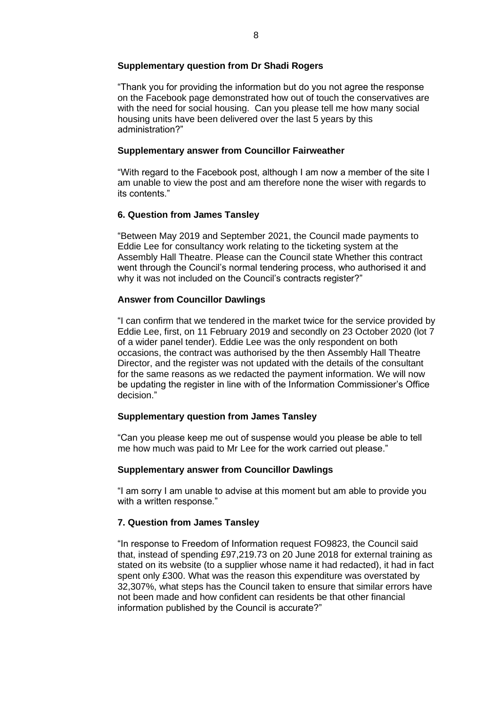## **Supplementary question from Dr Shadi Rogers**

"Thank you for providing the information but do you not agree the response on the Facebook page demonstrated how out of touch the conservatives are with the need for social housing. Can you please tell me how many social housing units have been delivered over the last 5 years by this administration?"

# **Supplementary answer from Councillor Fairweather**

"With regard to the Facebook post, although I am now a member of the site I am unable to view the post and am therefore none the wiser with regards to its contents."

# **6. Question from James Tansley**

"Between May 2019 and September 2021, the Council made payments to Eddie Lee for consultancy work relating to the ticketing system at the Assembly Hall Theatre. Please can the Council state Whether this contract went through the Council's normal tendering process, who authorised it and why it was not included on the Council's contracts register?"

# **Answer from Councillor Dawlings**

"I can confirm that we tendered in the market twice for the service provided by Eddie Lee, first, on 11 February 2019 and secondly on 23 October 2020 (lot 7 of a wider panel tender). Eddie Lee was the only respondent on both occasions, the contract was authorised by the then Assembly Hall Theatre Director, and the register was not updated with the details of the consultant for the same reasons as we redacted the payment information. We will now be updating the register in line with of the Information Commissioner's Office decision."

# **Supplementary question from James Tansley**

"Can you please keep me out of suspense would you please be able to tell me how much was paid to Mr Lee for the work carried out please."

# **Supplementary answer from Councillor Dawlings**

"I am sorry I am unable to advise at this moment but am able to provide you with a written response."

# **7. Question from James Tansley**

"In response to Freedom of Information request FO9823, the Council said that, instead of spending £97,219.73 on 20 June 2018 for external training as stated on its website (to a supplier whose name it had redacted), it had in fact spent only £300. What was the reason this expenditure was overstated by 32,307%, what steps has the Council taken to ensure that similar errors have not been made and how confident can residents be that other financial information published by the Council is accurate?"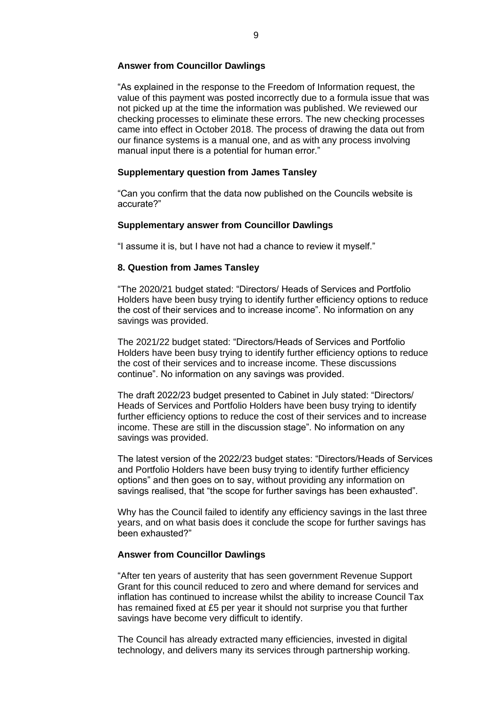### **Answer from Councillor Dawlings**

"As explained in the response to the Freedom of Information request, the value of this payment was posted incorrectly due to a formula issue that was not picked up at the time the information was published. We reviewed our checking processes to eliminate these errors. The new checking processes came into effect in October 2018. The process of drawing the data out from our finance systems is a manual one, and as with any process involving manual input there is a potential for human error."

### **Supplementary question from James Tansley**

"Can you confirm that the data now published on the Councils website is accurate?"

#### **Supplementary answer from Councillor Dawlings**

"I assume it is, but I have not had a chance to review it myself."

#### **8. Question from James Tansley**

"The 2020/21 budget stated: "Directors/ Heads of Services and Portfolio Holders have been busy trying to identify further efficiency options to reduce the cost of their services and to increase income". No information on any savings was provided.

The 2021/22 budget stated: "Directors/Heads of Services and Portfolio Holders have been busy trying to identify further efficiency options to reduce the cost of their services and to increase income. These discussions continue". No information on any savings was provided.

The draft 2022/23 budget presented to Cabinet in July stated: "Directors/ Heads of Services and Portfolio Holders have been busy trying to identify further efficiency options to reduce the cost of their services and to increase income. These are still in the discussion stage". No information on any savings was provided.

The latest version of the 2022/23 budget states: "Directors/Heads of Services and Portfolio Holders have been busy trying to identify further efficiency options" and then goes on to say, without providing any information on savings realised, that "the scope for further savings has been exhausted".

Why has the Council failed to identify any efficiency savings in the last three years, and on what basis does it conclude the scope for further savings has been exhausted?"

### **Answer from Councillor Dawlings**

"After ten years of austerity that has seen government Revenue Support Grant for this council reduced to zero and where demand for services and inflation has continued to increase whilst the ability to increase Council Tax has remained fixed at £5 per year it should not surprise you that further savings have become very difficult to identify.

The Council has already extracted many efficiencies, invested in digital technology, and delivers many its services through partnership working.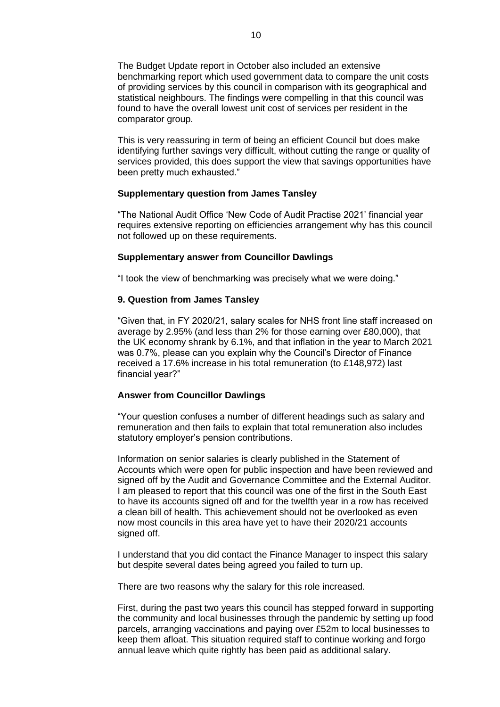The Budget Update report in October also included an extensive benchmarking report which used government data to compare the unit costs of providing services by this council in comparison with its geographical and statistical neighbours. The findings were compelling in that this council was found to have the overall lowest unit cost of services per resident in the comparator group.

This is very reassuring in term of being an efficient Council but does make identifying further savings very difficult, without cutting the range or quality of services provided, this does support the view that savings opportunities have been pretty much exhausted."

### **Supplementary question from James Tansley**

"The National Audit Office 'New Code of Audit Practise 2021' financial year requires extensive reporting on efficiencies arrangement why has this council not followed up on these requirements.

#### **Supplementary answer from Councillor Dawlings**

"I took the view of benchmarking was precisely what we were doing."

### **9. Question from James Tansley**

"Given that, in FY 2020/21, salary scales for NHS front line staff increased on average by 2.95% (and less than 2% for those earning over £80,000), that the UK economy shrank by 6.1%, and that inflation in the year to March 2021 was 0.7%, please can you explain why the Council's Director of Finance received a 17.6% increase in his total remuneration (to £148,972) last financial year?"

#### **Answer from Councillor Dawlings**

"Your question confuses a number of different headings such as salary and remuneration and then fails to explain that total remuneration also includes statutory employer's pension contributions.

Information on senior salaries is clearly published in the Statement of Accounts which were open for public inspection and have been reviewed and signed off by the Audit and Governance Committee and the External Auditor. I am pleased to report that this council was one of the first in the South East to have its accounts signed off and for the twelfth year in a row has received a clean bill of health. This achievement should not be overlooked as even now most councils in this area have yet to have their 2020/21 accounts signed off.

I understand that you did contact the Finance Manager to inspect this salary but despite several dates being agreed you failed to turn up.

There are two reasons why the salary for this role increased.

First, during the past two years this council has stepped forward in supporting the community and local businesses through the pandemic by setting up food parcels, arranging vaccinations and paying over £52m to local businesses to keep them afloat. This situation required staff to continue working and forgo annual leave which quite rightly has been paid as additional salary.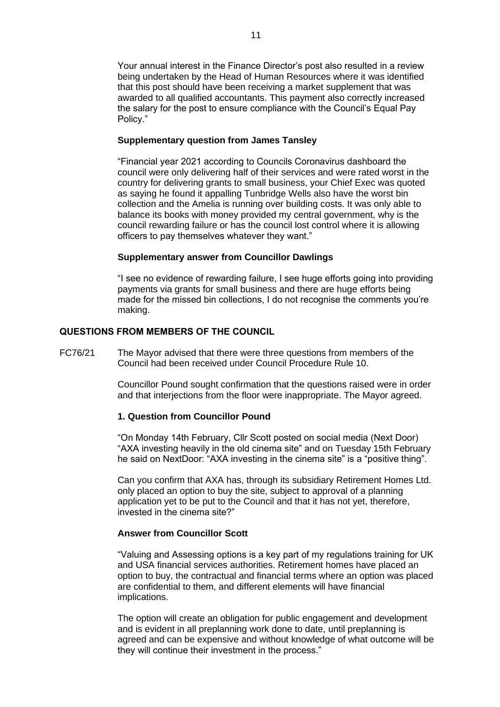Your annual interest in the Finance Director's post also resulted in a review being undertaken by the Head of Human Resources where it was identified that this post should have been receiving a market supplement that was awarded to all qualified accountants. This payment also correctly increased the salary for the post to ensure compliance with the Council's Equal Pay Policy."

### **Supplementary question from James Tansley**

"Financial year 2021 according to Councils Coronavirus dashboard the council were only delivering half of their services and were rated worst in the country for delivering grants to small business, your Chief Exec was quoted as saying he found it appalling Tunbridge Wells also have the worst bin collection and the Amelia is running over building costs. It was only able to balance its books with money provided my central government, why is the council rewarding failure or has the council lost control where it is allowing officers to pay themselves whatever they want."

### **Supplementary answer from Councillor Dawlings**

"I see no evidence of rewarding failure, I see huge efforts going into providing payments via grants for small business and there are huge efforts being made for the missed bin collections, I do not recognise the comments you're making.

### **QUESTIONS FROM MEMBERS OF THE COUNCIL**

FC76/21 The Mayor advised that there were three questions from members of the Council had been received under Council Procedure Rule 10.

> Councillor Pound sought confirmation that the questions raised were in order and that interjections from the floor were inappropriate. The Mayor agreed.

### **1. Question from Councillor Pound**

"On Monday 14th February, Cllr Scott posted on social media (Next Door) "AXA investing heavily in the old cinema site" and on Tuesday 15th February he said on NextDoor: "AXA investing in the cinema site" is a "positive thing".

Can you confirm that AXA has, through its subsidiary Retirement Homes Ltd. only placed an option to buy the site, subject to approval of a planning application yet to be put to the Council and that it has not yet, therefore, invested in the cinema site?"

### **Answer from Councillor Scott**

"Valuing and Assessing options is a key part of my regulations training for UK and USA financial services authorities. Retirement homes have placed an option to buy, the contractual and financial terms where an option was placed are confidential to them, and different elements will have financial implications.

The option will create an obligation for public engagement and development and is evident in all preplanning work done to date, until preplanning is agreed and can be expensive and without knowledge of what outcome will be they will continue their investment in the process."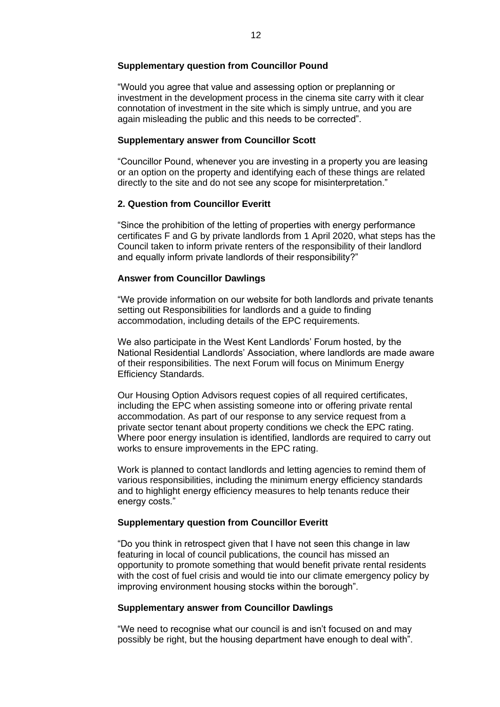### **Supplementary question from Councillor Pound**

"Would you agree that value and assessing option or preplanning or investment in the development process in the cinema site carry with it clear connotation of investment in the site which is simply untrue, and you are again misleading the public and this needs to be corrected".

# **Supplementary answer from Councillor Scott**

"Councillor Pound, whenever you are investing in a property you are leasing or an option on the property and identifying each of these things are related directly to the site and do not see any scope for misinterpretation."

## **2. Question from Councillor Everitt**

"Since the prohibition of the letting of properties with energy performance certificates F and G by private landlords from 1 April 2020, what steps has the Council taken to inform private renters of the responsibility of their landlord and equally inform private landlords of their responsibility?"

## **Answer from Councillor Dawlings**

"We provide information on our website for both landlords and private tenants setting out Responsibilities for landlords and a guide to finding accommodation, including details of the EPC requirements.

We also participate in the West Kent Landlords' Forum hosted, by the National Residential Landlords' Association, where landlords are made aware of their responsibilities. The next Forum will focus on Minimum Energy Efficiency Standards.

Our Housing Option Advisors request copies of all required certificates, including the EPC when assisting someone into or offering private rental accommodation. As part of our response to any service request from a private sector tenant about property conditions we check the EPC rating. Where poor energy insulation is identified, landlords are required to carry out works to ensure improvements in the EPC rating.

Work is planned to contact landlords and letting agencies to remind them of various responsibilities, including the minimum energy efficiency standards and to highlight energy efficiency measures to help tenants reduce their energy costs."

### **Supplementary question from Councillor Everitt**

"Do you think in retrospect given that I have not seen this change in law featuring in local of council publications, the council has missed an opportunity to promote something that would benefit private rental residents with the cost of fuel crisis and would tie into our climate emergency policy by improving environment housing stocks within the borough".

### **Supplementary answer from Councillor Dawlings**

"We need to recognise what our council is and isn't focused on and may possibly be right, but the housing department have enough to deal with".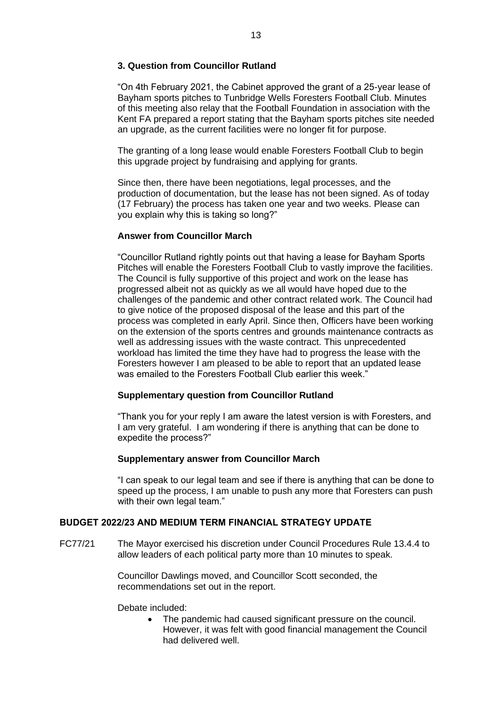# **3. Question from Councillor Rutland**

"On 4th February 2021, the Cabinet approved the grant of a 25-year lease of Bayham sports pitches to Tunbridge Wells Foresters Football Club. Minutes of this meeting also relay that the Football Foundation in association with the Kent FA prepared a report stating that the Bayham sports pitches site needed an upgrade, as the current facilities were no longer fit for purpose.

The granting of a long lease would enable Foresters Football Club to begin this upgrade project by fundraising and applying for grants.

Since then, there have been negotiations, legal processes, and the production of documentation, but the lease has not been signed. As of today (17 February) the process has taken one year and two weeks. Please can you explain why this is taking so long?"

# **Answer from Councillor March**

"Councillor Rutland rightly points out that having a lease for Bayham Sports Pitches will enable the Foresters Football Club to vastly improve the facilities. The Council is fully supportive of this project and work on the lease has progressed albeit not as quickly as we all would have hoped due to the challenges of the pandemic and other contract related work. The Council had to give notice of the proposed disposal of the lease and this part of the process was completed in early April. Since then, Officers have been working on the extension of the sports centres and grounds maintenance contracts as well as addressing issues with the waste contract. This unprecedented workload has limited the time they have had to progress the lease with the Foresters however I am pleased to be able to report that an updated lease was emailed to the Foresters Football Club earlier this week."

### **Supplementary question from Councillor Rutland**

"Thank you for your reply I am aware the latest version is with Foresters, and I am very grateful. I am wondering if there is anything that can be done to expedite the process?"

### **Supplementary answer from Councillor March**

"I can speak to our legal team and see if there is anything that can be done to speed up the process, I am unable to push any more that Foresters can push with their own legal team."

# **BUDGET 2022/23 AND MEDIUM TERM FINANCIAL STRATEGY UPDATE**

FC77/21 The Mayor exercised his discretion under Council Procedures Rule 13.4.4 to allow leaders of each political party more than 10 minutes to speak.

> Councillor Dawlings moved, and Councillor Scott seconded, the recommendations set out in the report.

Debate included:

• The pandemic had caused significant pressure on the council. However, it was felt with good financial management the Council had delivered well.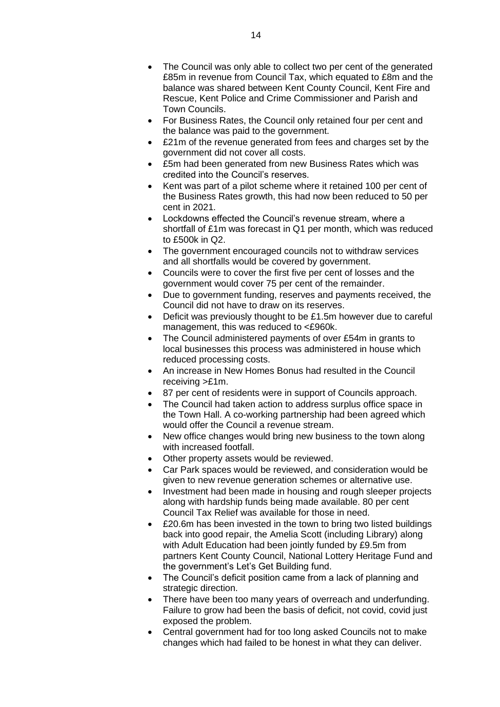- The Council was only able to collect two per cent of the generated £85m in revenue from Council Tax, which equated to £8m and the balance was shared between Kent County Council, Kent Fire and Rescue, Kent Police and Crime Commissioner and Parish and Town Councils.
- For Business Rates, the Council only retained four per cent and the balance was paid to the government.
- £21m of the revenue generated from fees and charges set by the government did not cover all costs.
- £5m had been generated from new Business Rates which was credited into the Council's reserves.
- Kent was part of a pilot scheme where it retained 100 per cent of the Business Rates growth, this had now been reduced to 50 per cent in 2021.
- Lockdowns effected the Council's revenue stream, where a shortfall of £1m was forecast in Q1 per month, which was reduced to £500k in Q2.
- The government encouraged councils not to withdraw services and all shortfalls would be covered by government.
- Councils were to cover the first five per cent of losses and the government would cover 75 per cent of the remainder.
- Due to government funding, reserves and payments received, the Council did not have to draw on its reserves.
- Deficit was previously thought to be £1.5m however due to careful management, this was reduced to <£960k.
- The Council administered payments of over £54m in grants to local businesses this process was administered in house which reduced processing costs.
- An increase in New Homes Bonus had resulted in the Council receiving >£1m.
- 87 per cent of residents were in support of Councils approach.
- The Council had taken action to address surplus office space in the Town Hall. A co-working partnership had been agreed which would offer the Council a revenue stream.
- New office changes would bring new business to the town along with increased footfall.
- Other property assets would be reviewed.
- Car Park spaces would be reviewed, and consideration would be given to new revenue generation schemes or alternative use.
- Investment had been made in housing and rough sleeper projects along with hardship funds being made available. 80 per cent Council Tax Relief was available for those in need.
- £20.6m has been invested in the town to bring two listed buildings back into good repair, the Amelia Scott (including Library) along with Adult Education had been jointly funded by £9.5m from partners Kent County Council, National Lottery Heritage Fund and the government's Let's Get Building fund.
- The Council's deficit position came from a lack of planning and strategic direction.
- There have been too many years of overreach and underfunding. Failure to grow had been the basis of deficit, not covid, covid just exposed the problem.
- Central government had for too long asked Councils not to make changes which had failed to be honest in what they can deliver.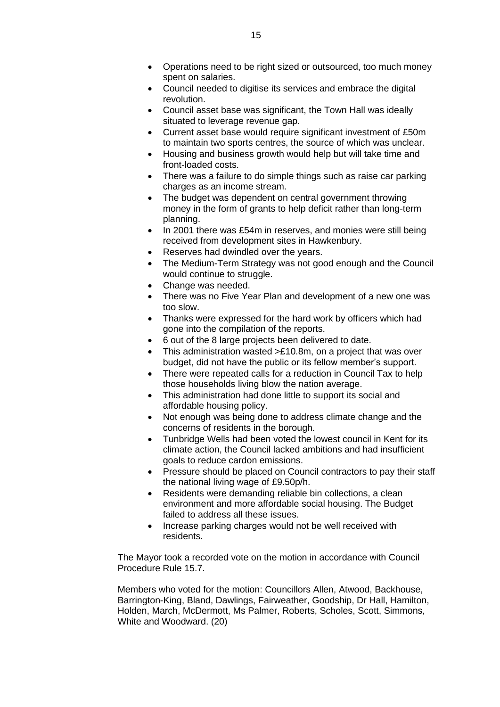- Operations need to be right sized or outsourced, too much money spent on salaries.
- Council needed to digitise its services and embrace the digital revolution.
- Council asset base was significant, the Town Hall was ideally situated to leverage revenue gap.
- Current asset base would require significant investment of £50m to maintain two sports centres, the source of which was unclear.
- Housing and business growth would help but will take time and front-loaded costs.
- There was a failure to do simple things such as raise car parking charges as an income stream.
- The budget was dependent on central government throwing money in the form of grants to help deficit rather than long-term planning.
- In 2001 there was £54m in reserves, and monies were still being received from development sites in Hawkenbury.
- Reserves had dwindled over the years.
- The Medium-Term Strategy was not good enough and the Council would continue to struggle.
- Change was needed.
- There was no Five Year Plan and development of a new one was too slow.
- Thanks were expressed for the hard work by officers which had gone into the compilation of the reports.
- 6 out of the 8 large projects been delivered to date.
- This administration wasted >£10.8m, on a project that was over budget, did not have the public or its fellow member's support.
- There were repeated calls for a reduction in Council Tax to help those households living blow the nation average.
- This administration had done little to support its social and affordable housing policy.
- Not enough was being done to address climate change and the concerns of residents in the borough.
- Tunbridge Wells had been voted the lowest council in Kent for its climate action, the Council lacked ambitions and had insufficient goals to reduce cardon emissions.
- Pressure should be placed on Council contractors to pay their staff the national living wage of £9.50p/h.
- Residents were demanding reliable bin collections, a clean environment and more affordable social housing. The Budget failed to address all these issues.
- Increase parking charges would not be well received with residents.

The Mayor took a recorded vote on the motion in accordance with Council Procedure Rule 15.7.

Members who voted for the motion: Councillors Allen, Atwood, Backhouse, Barrington-King, Bland, Dawlings, Fairweather, Goodship, Dr Hall, Hamilton, Holden, March, McDermott, Ms Palmer, Roberts, Scholes, Scott, Simmons, White and Woodward. (20)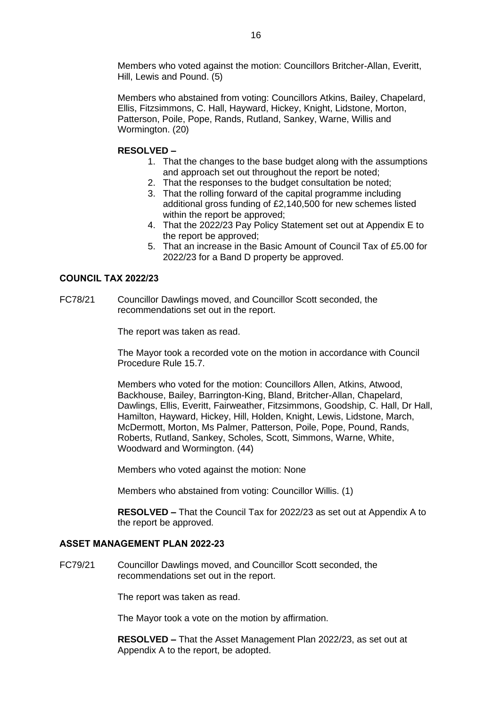Members who voted against the motion: Councillors Britcher-Allan, Everitt, Hill, Lewis and Pound. (5)

Members who abstained from voting: Councillors Atkins, Bailey, Chapelard, Ellis, Fitzsimmons, C. Hall, Hayward, Hickey, Knight, Lidstone, Morton, Patterson, Poile, Pope, Rands, Rutland, Sankey, Warne, Willis and Wormington. (20)

## **RESOLVED –**

- 1. That the changes to the base budget along with the assumptions and approach set out throughout the report be noted;
- 2. That the responses to the budget consultation be noted;
- 3. That the rolling forward of the capital programme including additional gross funding of £2,140,500 for new schemes listed within the report be approved;
- 4. That the 2022/23 Pay Policy Statement set out at Appendix E to the report be approved;
- 5. That an increase in the Basic Amount of Council Tax of £5.00 for 2022/23 for a Band D property be approved.

## **COUNCIL TAX 2022/23**

FC78/21 Councillor Dawlings moved, and Councillor Scott seconded, the recommendations set out in the report.

The report was taken as read.

The Mayor took a recorded vote on the motion in accordance with Council Procedure Rule 15.7.

Members who voted for the motion: Councillors Allen, Atkins, Atwood, Backhouse, Bailey, Barrington-King, Bland, Britcher-Allan, Chapelard, Dawlings, Ellis, Everitt, Fairweather, Fitzsimmons, Goodship, C. Hall, Dr Hall, Hamilton, Hayward, Hickey, Hill, Holden, Knight, Lewis, Lidstone, March, McDermott, Morton, Ms Palmer, Patterson, Poile, Pope, Pound, Rands, Roberts, Rutland, Sankey, Scholes, Scott, Simmons, Warne, White, Woodward and Wormington. (44)

Members who voted against the motion: None

Members who abstained from voting: Councillor Willis. (1)

**RESOLVED –** That the Council Tax for 2022/23 as set out at Appendix A to the report be approved.

### **ASSET MANAGEMENT PLAN 2022-23**

FC79/21 Councillor Dawlings moved, and Councillor Scott seconded, the recommendations set out in the report.

The report was taken as read.

The Mayor took a vote on the motion by affirmation.

**RESOLVED –** That the Asset Management Plan 2022/23, as set out at Appendix A to the report, be adopted.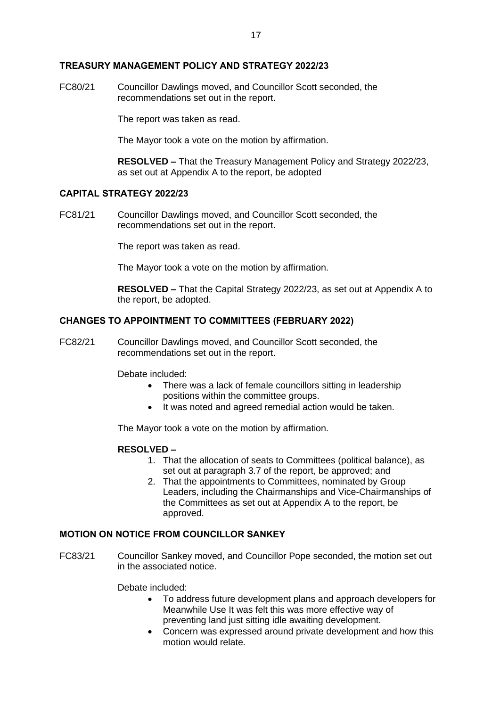### **TREASURY MANAGEMENT POLICY AND STRATEGY 2022/23**

FC80/21 Councillor Dawlings moved, and Councillor Scott seconded, the recommendations set out in the report.

The report was taken as read.

The Mayor took a vote on the motion by affirmation.

**RESOLVED –** That the Treasury Management Policy and Strategy 2022/23, as set out at Appendix A to the report, be adopted

# **CAPITAL STRATEGY 2022/23**

FC81/21 Councillor Dawlings moved, and Councillor Scott seconded, the recommendations set out in the report.

The report was taken as read.

The Mayor took a vote on the motion by affirmation.

**RESOLVED –** That the Capital Strategy 2022/23, as set out at Appendix A to the report, be adopted.

## **CHANGES TO APPOINTMENT TO COMMITTEES (FEBRUARY 2022)**

FC82/21 Councillor Dawlings moved, and Councillor Scott seconded, the recommendations set out in the report.

Debate included:

- There was a lack of female councillors sitting in leadership positions within the committee groups.
- It was noted and agreed remedial action would be taken.

The Mayor took a vote on the motion by affirmation.

### **RESOLVED –**

- 1. That the allocation of seats to Committees (political balance), as set out at paragraph 3.7 of the report, be approved; and
- 2. That the appointments to Committees, nominated by Group Leaders, including the Chairmanships and Vice-Chairmanships of the Committees as set out at Appendix A to the report, be approved.

# **MOTION ON NOTICE FROM COUNCILLOR SANKEY**

FC83/21 Councillor Sankey moved, and Councillor Pope seconded, the motion set out in the associated notice.

Debate included:

- To address future development plans and approach developers for Meanwhile Use It was felt this was more effective way of preventing land just sitting idle awaiting development.
- Concern was expressed around private development and how this motion would relate.